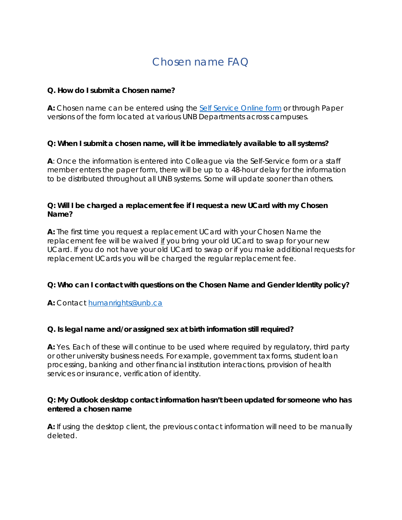# Chosen name FAQ

## **Q. How do I submit a Chosen name?**

**A:** Chosen name can be entered using the [Self Service Online form](https://colleaguess.unb.ca/Student/UserProfile) or through Paper versions of the form located at various UNB Departments across campuses.

# **Q: When I submit a chosen name, will it be immediately available to all systems?**

**A**: Once the information is entered into Colleague via the Self-Service form or a staff member enters the paper form, there will be up to a 48-hour delay for the information to be distributed throughout all UNB systems. Some will update sooner than others.

#### **Q: Will I be charged a replacement fee if I request a new UCard with my Chosen Name?**

**A:** The first time you request a replacement UCard with your Chosen Name the replacement fee will be waived if you bring your old UCard to swap for your new UCard. If you do not have your old UCard to swap or if you make additional requests for replacement UCards you will be charged the regular replacement fee.

# **Q: Who can I contact with questions on the Chosen Name and Gender Identity policy?**

A: Contact [humanrights@unb.ca](mailto:humanrights@unb.ca)

# **Q. Is legal name and/or assigned sex at birth information still required?**

**A:** Yes. Each of these will continue to be used where required by regulatory, third party or other university business needs. For example, government tax forms, student loan processing, banking and other financial institution interactions, provision of health services or insurance, verification of identity.

#### **Q: My Outlook desktop contact information hasn't been updated for someone who has entered a chosen name**

**A:** If using the desktop client, the previous contact information will need to be manually deleted.